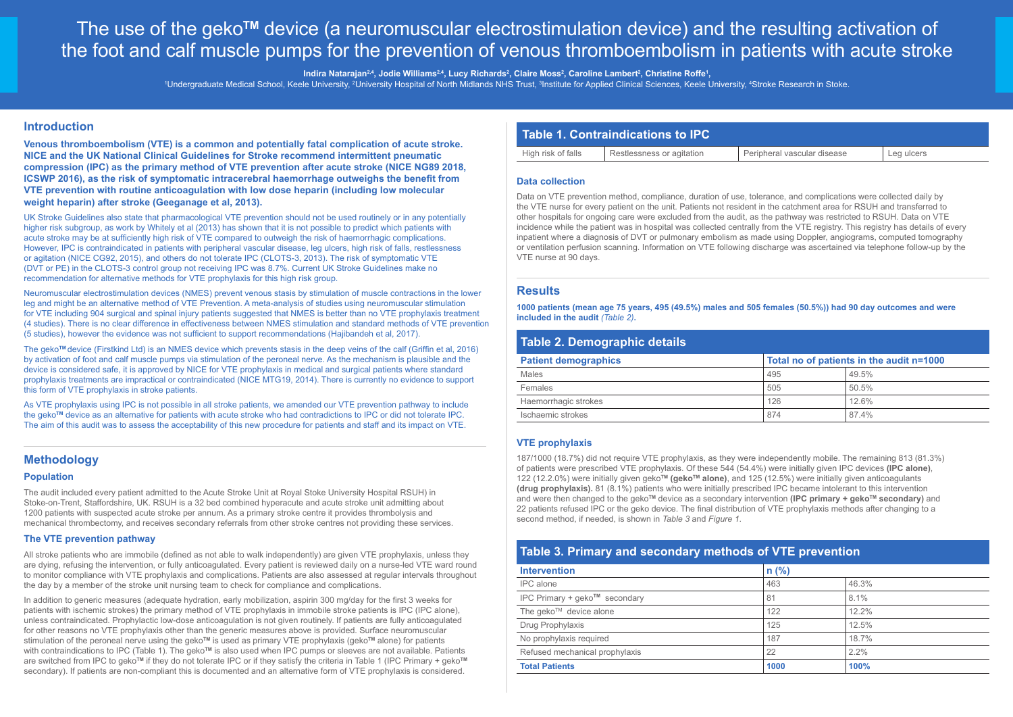# The use of the geko**TM** device (a neuromuscular electrostimulation device) and the resulting activation of the foot and calf muscle pumps for the prevention of venous thromboembolism in patients with acute stroke

Indira Natarajan<sup>2,4</sup>, Jodie Williams<sup>2,4</sup>, Lucy Richards<sup>2</sup>, Claire Moss<sup>2</sup>, Caroline Lambert<sup>2</sup>, Christine Roffe<sup>1</sup>,

Undergraduate Medical School, Keele University, <sup>2</sup>University Hospital of North Midlands NHS Trust, <sup>3</sup>Institute for Applied Clinical Sciences, Keele University, <del>1</del>Stroke Research in Stoke.

## **Introduction**

**Venous thromboembolism (VTE) is a common and potentially fatal complication of acute stroke. NICE and the UK National Clinical Guidelines for Stroke recommend intermittent pneumatic compression (IPC) as the primary method of VTE prevention after acute stroke (NICE NG89 2018, ICSWP 2016), as the risk of symptomatic intracerebral haemorrhage outweighs the benefit from VTE prevention with routine anticoagulation with low dose heparin (including low molecular weight heparin) after stroke (Geeganage et al, 2013).** 

UK Stroke Guidelines also state that pharmacological VTE prevention should not be used routinely or in any potentially higher risk subgroup, as work by Whitely et al (2013) has shown that it is not possible to predict which patients with acute stroke may be at sufficiently high risk of VTE compared to outweigh the risk of haemorrhagic complications. However, IPC is contraindicated in patients with peripheral vascular disease, leg ulcers, high risk of falls, restlessness or agitation (NICE CG92, 2015), and others do not tolerate IPC (CLOTS-3, 2013). The risk of symptomatic VTE (DVT or PE) in the CLOTS-3 control group not receiving IPC was 8.7%. Current UK Stroke Guidelines make no recommendation for alternative methods for VTE prophylaxis for this high risk group.

Neuromuscular electrostimulation devices (NMES) prevent venous stasis by stimulation of muscle contractions in the lower leg and might be an alternative method of VTE Prevention. A meta-analysis of studies using neuromuscular stimulation for VTE including 904 surgical and spinal injury patients suggested that NMES is better than no VTE prophylaxis treatment (4 studies). There is no clear difference in effectiveness between NMES stimulation and standard methods of VTE prevention (5 studies), however the evidence was not sufficient to support recommendations (Hajibandeh et al, 2017).

The geko**TM** device (Firstkind Ltd) is an NMES device which prevents stasis in the deep veins of the calf (Griffin et al, 2016) by activation of foot and calf muscle pumps via stimulation of the peroneal nerve. As the mechanism is plausible and the device is considered safe, it is approved by NICE for VTE prophylaxis in medical and surgical patients where standard prophylaxis treatments are impractical or contraindicated (NICE MTG19, 2014). There is currently no evidence to support this form of VTE prophylaxis in stroke patients.

As VTE prophylaxis using IPC is not possible in all stroke patients, we amended our VTE prevention pathway to include the geko**TM** device as an alternative for patients with acute stroke who had contradictions to IPC or did not tolerate IPC. The aim of this audit was to assess the acceptability of this new procedure for patients and staff and its impact on VTE.

## **Methodology**

#### **Population**

The audit included every patient admitted to the Acute Stroke Unit at Royal Stoke University Hospital RSUH) in Stoke-on-Trent, Staffordshire, UK. RSUH is a 32 bed combined hyperacute and acute stroke unit admitting about 1200 patients with suspected acute stroke per annum. As a primary stroke centre it provides thrombolysis and mechanical thrombectomy, and receives secondary referrals from other stroke centres not providing these services.

#### **The VTE prevention pathway**

All stroke patients who are immobile (defined as not able to walk independently) are given VTE prophylaxis, unless they are dying, refusing the intervention, or fully anticoagulated. Every patient is reviewed daily on a nurse-led VTE ward round to monitor compliance with VTE prophylaxis and complications. Patients are also assessed at regular intervals throughout the day by a member of the stroke unit nursing team to check for compliance and complications.

In addition to generic measures (adequate hydration, early mobilization, aspirin 300 ma/dav for the first 3 weeks for patients with ischemic strokes) the primary method of VTE prophylaxis in immobile stroke patients is IPC (IPC alone), unless contraindicated. Prophylactic low-dose anticoagulation is not given routinely. If patients are fully anticoagulated for other reasons no VTE prophylaxis other than the generic measures above is provided. Surface neuromuscular stimulation of the peroneal nerve using the geko**TM** is used as primary VTE prophylaxis (geko**TM** alone) for patients with contraindications to IPC (Table 1). The geko™ is also used when IPC pumps or sleeves are not available. Patients are switched from IPC to geko**TM** if they do not tolerate IPC or if they satisfy the criteria in Table 1 (IPC Primary + geko**TM** secondary). If patients are non-compliant this is documented and an alternative form of VTE prophylaxis is considered.

## **Table 1. Contraindications to IPC**

| High risk of falls | Restlessness or agitation | Peripheral vascular disease | Leg ulcers |
|--------------------|---------------------------|-----------------------------|------------|
|                    |                           |                             |            |

#### **Data collection**

Data on VTE prevention method, compliance, duration of use, tolerance, and complications were collected daily by the VTE nurse for every patient on the unit. Patients not resident in the catchment area for RSUH and transferred to other hospitals for ongoing care were excluded from the audit, as the pathway was restricted to RSUH. Data on VTE incidence while the patient was in hospital was collected centrally from the VTE registry. This registry has details of every inpatient where a diagnosis of DVT or pulmonary embolism as made using Doppler, angiograms, computed tomography or ventilation perfusion scanning. Information on VTE following discharge was ascertained via telephone follow-up by the VTE nurse at 90 days.

### **Results**

**1000 patients (mean age 75 years, 495 (49.5%) males and 505 females (50.5%)) had 90 day outcomes and were included in the audit** *(Table 2)***.**

## **Table 2. Demographic details**

| Total no of patients in the audit n=1000 |       |
|------------------------------------------|-------|
| 495                                      | 49.5% |
| 505                                      | 50.5% |
| 126                                      | 12.6% |
| 874                                      | 874%  |
|                                          |       |

#### **VTE prophylaxis**

187/1000 (18.7%) did not require VTE prophylaxis, as they were independently mobile. The remaining 813 (81.3%) of patients were prescribed VTE prophylaxis. Of these 544 (54.4%) were initially given IPC devices **(IPC alone)**, 122 (12.2.0%) were initially given geko**TM (gekoTM alone)**, and 125 (12.5%) were initially given anticoagulants **(drug prophylaxis).** 81 (8.1%) patients who were initially prescribed IPC became intolerant to this intervention and were then changed to the geko™ device as a secondary intervention **(IPC primary + geko™ secondary)** and 22 patients refused IPC or the geko device. The final distribution of VTE prophylaxis methods after changing to a second method, if needed, is shown in *Table 3* and *Figure 1*.

## **Table 3. Primary and secondary methods of VTE prevention**

| <b>Intervention</b>                              | $n$ (%) |          |
|--------------------------------------------------|---------|----------|
| IPC alone                                        | 463     | 46.3%    |
| IPC Primary + geko™ secondary                    | 81      | 8.1%     |
| The geko <sup><math>TM</math></sup> device alone | 122     | $12.2\%$ |
| Drug Prophylaxis                                 | 125     | 12.5%    |
| No prophylaxis required                          | 187     | 18.7%    |
| Refused mechanical prophylaxis                   | 22      | 2.2%     |
| <b>Total Patients</b>                            | 1000    | 100%     |